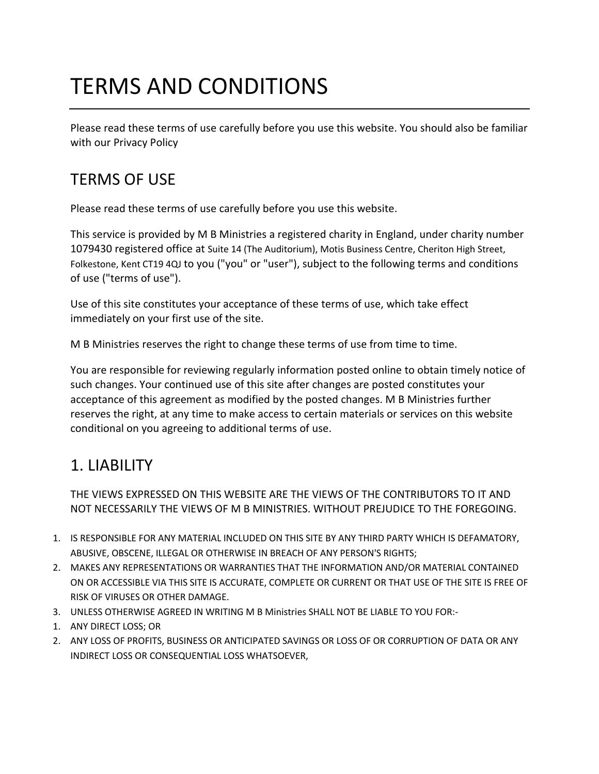# TERMS AND CONDITIONS

Please read these terms of use carefully before you use this website. You should also be familiar with our Privacy Policy

#### TERMS OF USE

Please read these terms of use carefully before you use this website.

This service is provided by M B Ministries a registered charity in England, under charity number 1079430 registered office at Suite 14 (The Auditorium), Motis Business Centre, Cheriton High Street, Folkestone, Kent CT19 4QJ to you ("you" or "user"), subject to the following terms and conditions of use ("terms of use").

Use of this site constitutes your acceptance of these terms of use, which take effect immediately on your first use of the site.

M B Ministries reserves the right to change these terms of use from time to time.

You are responsible for reviewing regularly information posted online to obtain timely notice of such changes. Your continued use of this site after changes are posted constitutes your acceptance of this agreement as modified by the posted changes. M B Ministries further reserves the right, at any time to make access to certain materials or services on this website conditional on you agreeing to additional terms of use.

## 1. LIABILITY

THE VIEWS EXPRESSED ON THIS WEBSITE ARE THE VIEWS OF THE CONTRIBUTORS TO IT AND NOT NECESSARILY THE VIEWS OF M B MINISTRIES. WITHOUT PREJUDICE TO THE FOREGOING.

- 1. IS RESPONSIBLE FOR ANY MATERIAL INCLUDED ON THIS SITE BY ANY THIRD PARTY WHICH IS DEFAMATORY, ABUSIVE, OBSCENE, ILLEGAL OR OTHERWISE IN BREACH OF ANY PERSON'S RIGHTS;
- 2. MAKES ANY REPRESENTATIONS OR WARRANTIES THAT THE INFORMATION AND/OR MATERIAL CONTAINED ON OR ACCESSIBLE VIA THIS SITE IS ACCURATE, COMPLETE OR CURRENT OR THAT USE OF THE SITE IS FREE OF RISK OF VIRUSES OR OTHER DAMAGE.
- 3. UNLESS OTHERWISE AGREED IN WRITING M B Ministries SHALL NOT BE LIABLE TO YOU FOR:-
- 1. ANY DIRECT LOSS; OR
- 2. ANY LOSS OF PROFITS, BUSINESS OR ANTICIPATED SAVINGS OR LOSS OF OR CORRUPTION OF DATA OR ANY INDIRECT LOSS OR CONSEQUENTIAL LOSS WHATSOEVER,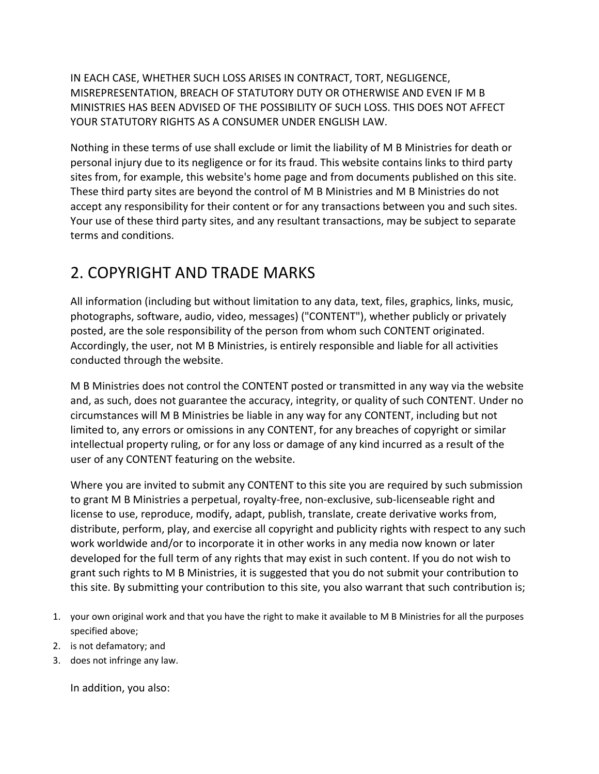IN EACH CASE, WHETHER SUCH LOSS ARISES IN CONTRACT, TORT, NEGLIGENCE, MISREPRESENTATION, BREACH OF STATUTORY DUTY OR OTHERWISE AND EVEN IF M B MINISTRIES HAS BEEN ADVISED OF THE POSSIBILITY OF SUCH LOSS. THIS DOES NOT AFFECT YOUR STATUTORY RIGHTS AS A CONSUMER UNDER ENGLISH LAW.

Nothing in these terms of use shall exclude or limit the liability of M B Ministries for death or personal injury due to its negligence or for its fraud. This website contains links to third party sites from, for example, this website's home page and from documents published on this site. These third party sites are beyond the control of M B Ministries and M B Ministries do not accept any responsibility for their content or for any transactions between you and such sites. Your use of these third party sites, and any resultant transactions, may be subject to separate terms and conditions.

#### 2. COPYRIGHT AND TRADE MARKS

All information (including but without limitation to any data, text, files, graphics, links, music, photographs, software, audio, video, messages) ("CONTENT"), whether publicly or privately posted, are the sole responsibility of the person from whom such CONTENT originated. Accordingly, the user, not M B Ministries, is entirely responsible and liable for all activities conducted through the website.

M B Ministries does not control the CONTENT posted or transmitted in any way via the website and, as such, does not guarantee the accuracy, integrity, or quality of such CONTENT. Under no circumstances will M B Ministries be liable in any way for any CONTENT, including but not limited to, any errors or omissions in any CONTENT, for any breaches of copyright or similar intellectual property ruling, or for any loss or damage of any kind incurred as a result of the user of any CONTENT featuring on the website.

Where you are invited to submit any CONTENT to this site you are required by such submission to grant M B Ministries a perpetual, royalty-free, non-exclusive, sub-licenseable right and license to use, reproduce, modify, adapt, publish, translate, create derivative works from, distribute, perform, play, and exercise all copyright and publicity rights with respect to any such work worldwide and/or to incorporate it in other works in any media now known or later developed for the full term of any rights that may exist in such content. If you do not wish to grant such rights to M B Ministries, it is suggested that you do not submit your contribution to this site. By submitting your contribution to this site, you also warrant that such contribution is;

- 1. your own original work and that you have the right to make it available to M B Ministries for all the purposes specified above;
- 2. is not defamatory; and
- 3. does not infringe any law.

In addition, you also: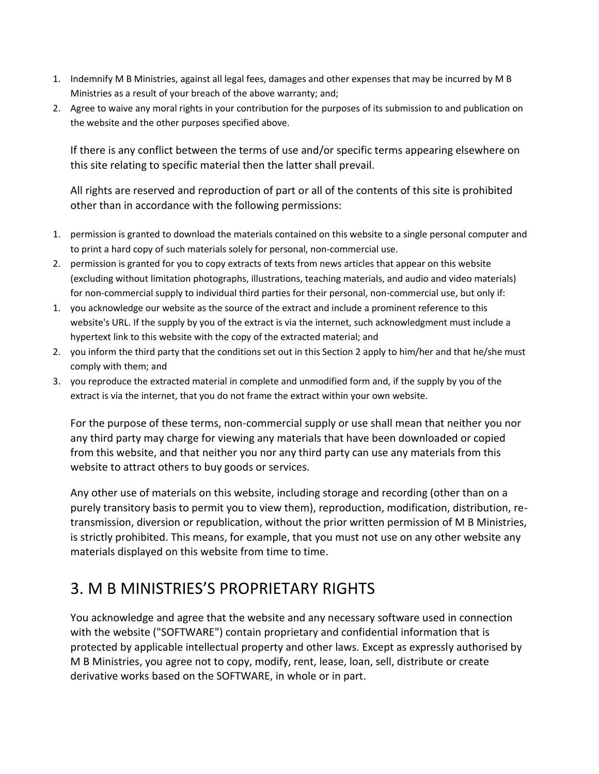- 1. Indemnify M B Ministries, against all legal fees, damages and other expenses that may be incurred by M B Ministries as a result of your breach of the above warranty; and;
- 2. Agree to waive any moral rights in your contribution for the purposes of its submission to and publication on the website and the other purposes specified above.

If there is any conflict between the terms of use and/or specific terms appearing elsewhere on this site relating to specific material then the latter shall prevail.

All rights are reserved and reproduction of part or all of the contents of this site is prohibited other than in accordance with the following permissions:

- 1. permission is granted to download the materials contained on this website to a single personal computer and to print a hard copy of such materials solely for personal, non-commercial use.
- 2. permission is granted for you to copy extracts of texts from news articles that appear on this website (excluding without limitation photographs, illustrations, teaching materials, and audio and video materials) for non-commercial supply to individual third parties for their personal, non-commercial use, but only if:
- 1. you acknowledge our website as the source of the extract and include a prominent reference to this website's URL. If the supply by you of the extract is via the internet, such acknowledgment must include a hypertext link to this website with the copy of the extracted material; and
- 2. you inform the third party that the conditions set out in this Section 2 apply to him/her and that he/she must comply with them; and
- 3. you reproduce the extracted material in complete and unmodified form and, if the supply by you of the extract is via the internet, that you do not frame the extract within your own website.

For the purpose of these terms, non-commercial supply or use shall mean that neither you nor any third party may charge for viewing any materials that have been downloaded or copied from this website, and that neither you nor any third party can use any materials from this website to attract others to buy goods or services.

Any other use of materials on this website, including storage and recording (other than on a purely transitory basis to permit you to view them), reproduction, modification, distribution, retransmission, diversion or republication, without the prior written permission of M B Ministries, is strictly prohibited. This means, for example, that you must not use on any other website any materials displayed on this website from time to time.

#### 3. M B MINISTRIES'S PROPRIETARY RIGHTS

You acknowledge and agree that the website and any necessary software used in connection with the website ("SOFTWARE") contain proprietary and confidential information that is protected by applicable intellectual property and other laws. Except as expressly authorised by M B Ministries, you agree not to copy, modify, rent, lease, loan, sell, distribute or create derivative works based on the SOFTWARE, in whole or in part.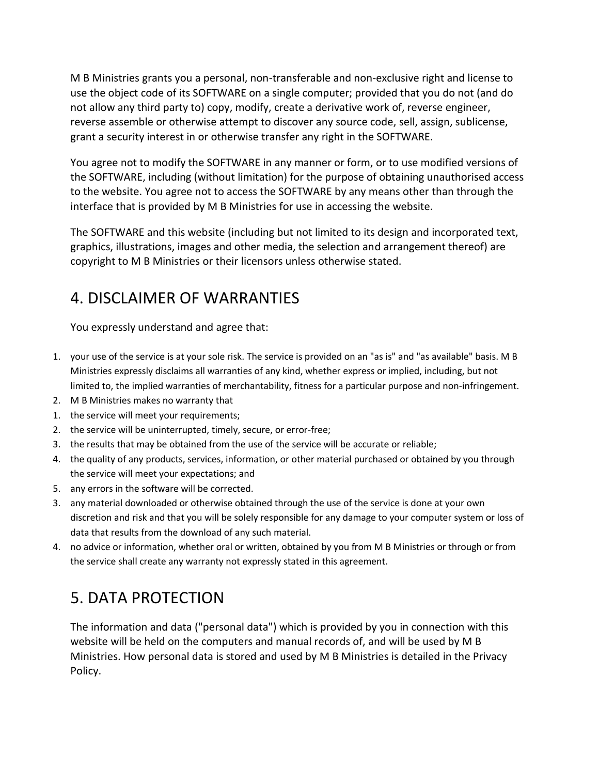M B Ministries grants you a personal, non-transferable and non-exclusive right and license to use the object code of its SOFTWARE on a single computer; provided that you do not (and do not allow any third party to) copy, modify, create a derivative work of, reverse engineer, reverse assemble or otherwise attempt to discover any source code, sell, assign, sublicense, grant a security interest in or otherwise transfer any right in the SOFTWARE.

You agree not to modify the SOFTWARE in any manner or form, or to use modified versions of the SOFTWARE, including (without limitation) for the purpose of obtaining unauthorised access to the website. You agree not to access the SOFTWARE by any means other than through the interface that is provided by M B Ministries for use in accessing the website.

The SOFTWARE and this website (including but not limited to its design and incorporated text, graphics, illustrations, images and other media, the selection and arrangement thereof) are copyright to M B Ministries or their licensors unless otherwise stated.

## 4. DISCLAIMER OF WARRANTIES

You expressly understand and agree that:

- 1. your use of the service is at your sole risk. The service is provided on an "as is" and "as available" basis. M B Ministries expressly disclaims all warranties of any kind, whether express or implied, including, but not limited to, the implied warranties of merchantability, fitness for a particular purpose and non-infringement.
- 2. M B Ministries makes no warranty that
- 1. the service will meet your requirements;
- 2. the service will be uninterrupted, timely, secure, or error-free;
- 3. the results that may be obtained from the use of the service will be accurate or reliable;
- 4. the quality of any products, services, information, or other material purchased or obtained by you through the service will meet your expectations; and
- 5. any errors in the software will be corrected.
- 3. any material downloaded or otherwise obtained through the use of the service is done at your own discretion and risk and that you will be solely responsible for any damage to your computer system or loss of data that results from the download of any such material.
- 4. no advice or information, whether oral or written, obtained by you from M B Ministries or through or from the service shall create any warranty not expressly stated in this agreement.

## 5. DATA PROTECTION

The information and data ("personal data") which is provided by you in connection with this website will be held on the computers and manual records of, and will be used by M B Ministries. How personal data is stored and used by M B Ministries is detailed in the Privacy Policy.